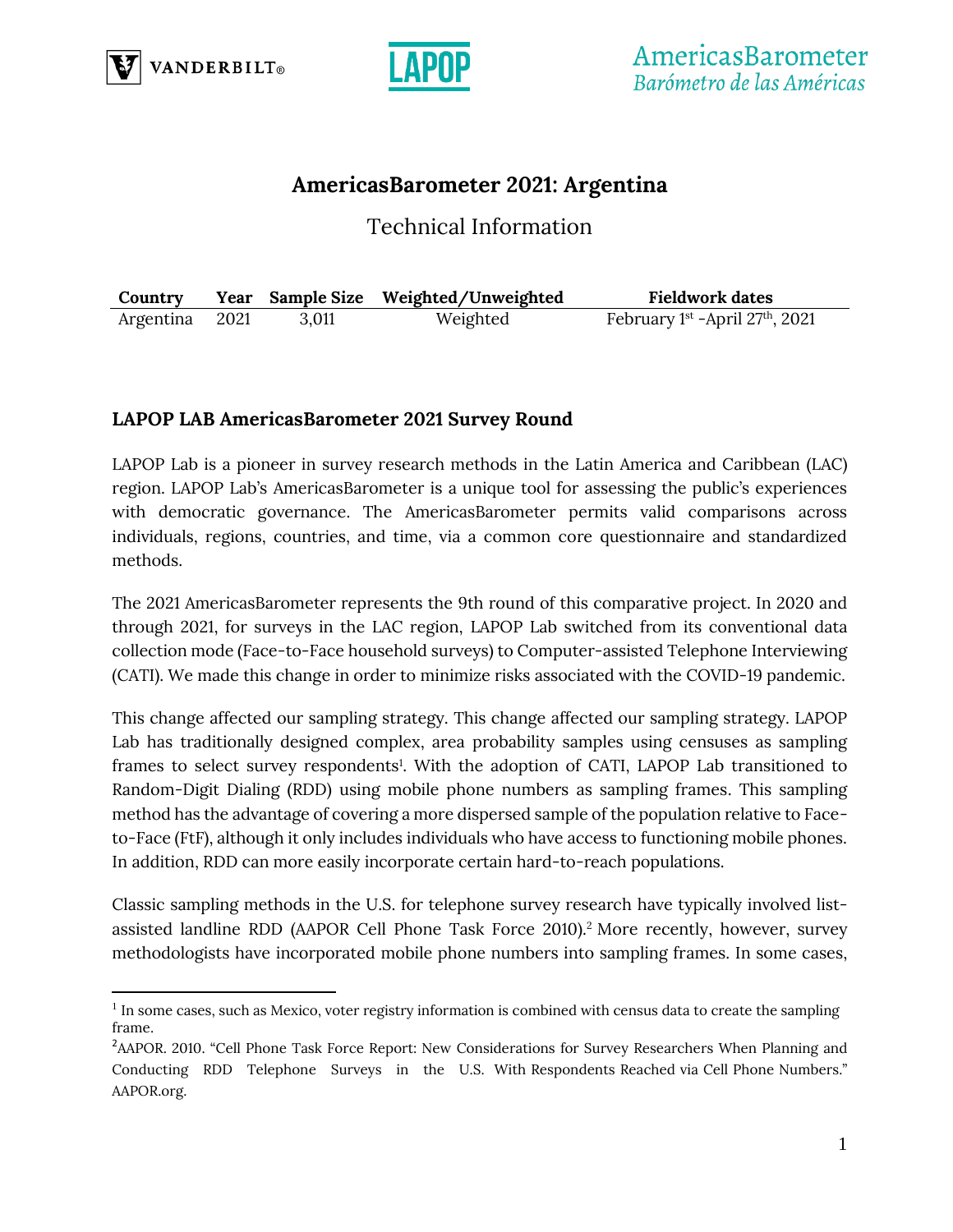



# **AmericasBarometer 2021: Argentina**

Technical Information

| Country        |       | Year Sample Size Weighted/Unweighted | <b>Fieldwork dates</b>            |
|----------------|-------|--------------------------------------|-----------------------------------|
| Argentina 2021 | 3,011 | Weighted                             | February 1st -April $27th$ , 2021 |

# **LAPOP LAB AmericasBarometer 2021 Survey Round**

LAPOP Lab is a pioneer in survey research methods in the Latin America and Caribbean (LAC) region. LAPOP Lab's AmericasBarometer is a unique tool for assessing the public's experiences with democratic governance. The AmericasBarometer permits valid comparisons across individuals, regions, countries, and time, via a common core questionnaire and standardized methods.

The 2021 AmericasBarometer represents the 9th round of this comparative project. In 2020 and through 2021, for surveys in the LAC region, LAPOP Lab switched from its conventional data collection mode (Face-to-Face household surveys) to Computer-assisted Telephone Interviewing (CATI). We made this change in order to minimize risks associated with the COVID-19 pandemic.

This change affected our sampling strategy. This change affected our sampling strategy. LAPOP Lab has traditionally designed complex, area probability samples using censuses as sampling frames to select survey respondents<sup>1</sup>. With the adoption of CATI, LAPOP Lab transitioned to Random-Digit Dialing (RDD) using mobile phone numbers as sampling frames. This sampling method has the advantage of covering a more dispersed sample of the population relative to Faceto-Face (FtF), although it only includes individuals who have access to functioning mobile phones. In addition, RDD can more easily incorporate certain hard-to-reach populations.

Classic sampling methods in the U.S. for telephone survey research have typically involved listassisted landline RDD (AAPOR Cell Phone Task Force 2010).<sup>2</sup> More recently, however, survey methodologists have incorporated mobile phone numbers into sampling frames. In some cases,

<sup>&</sup>lt;sup>1</sup> In some cases, such as Mexico, voter registry information is combined with census data to create the sampling frame.

<sup>&</sup>lt;sup>2</sup>AAPOR. 2010. "Cell Phone Task Force Report: New Considerations for Survey Researchers When Planning and Conducting RDD Telephone Surveys in the U.S. With Respondents Reached via Cell Phone Numbers." AAPOR.org.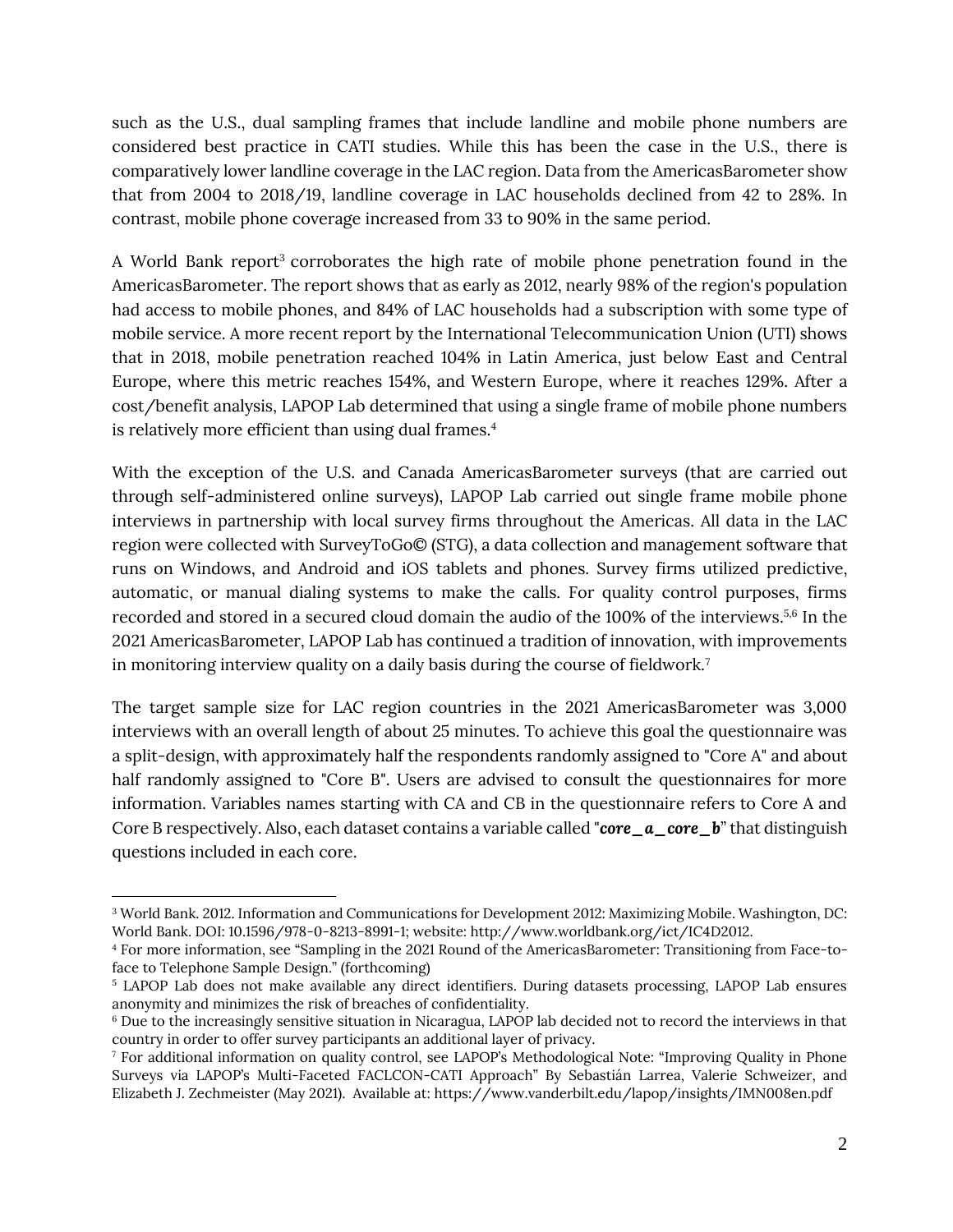such as the U.S., dual sampling frames that include landline and mobile phone numbers are considered best practice in CATI studies. While this has been the case in the U.S., there is comparatively lower landline coverage in the LAC region. Data from the AmericasBarometer show that from 2004 to 2018/19, landline coverage in LAC households declined from 42 to 28%. In contrast, mobile phone coverage increased from 33 to 90% in the same period.

A World Bank report<sup>3</sup> corroborates the high rate of mobile phone penetration found in the AmericasBarometer. The report shows that as early as 2012, nearly 98% of the region's population had access to mobile phones, and 84% of LAC households had a subscription with some type of mobile service. A more recent report by the International Telecommunication Union (UTI) shows that in 2018, mobile penetration reached 104% in Latin America, just below East and Central Europe, where this metric reaches 154%, and Western Europe, where it reaches 129%. After a cost/benefit analysis, LAPOP Lab determined that using a single frame of mobile phone numbers is relatively more efficient than using dual frames.<sup>4</sup>

With the exception of the U.S. and Canada AmericasBarometer surveys (that are carried out through self-administered online surveys), LAPOP Lab carried out single frame mobile phone interviews in partnership with local survey firms throughout the Americas. All data in the LAC region were collected with SurveyToGo© (STG), a data collection and management software that runs on Windows, and Android and iOS tablets and phones. Survey firms utilized predictive, automatic, or manual dialing systems to make the calls. For quality control purposes, firms recorded and stored in a secured cloud domain the audio of the 100% of the interviews. 5,6 In the 2021 AmericasBarometer, LAPOP Lab has continued a tradition of innovation, with improvements in monitoring interview quality on a daily basis during the course of fieldwork.<sup>7</sup>

The target sample size for LAC region countries in the 2021 AmericasBarometer was 3,000 interviews with an overall length of about 25 minutes. To achieve this goal the questionnaire was a split-design, with approximately half the respondents randomly assigned to "Core A" and about half randomly assigned to "Core B". Users are advised to consult the questionnaires for more information. Variables names starting with CA and CB in the questionnaire refers to Core A and Core B respectively. Also, each dataset contains a variable called "*core\_a\_core\_b*" that distinguish questions included in each core.

<sup>3</sup> World Bank. 2012. Information and Communications for Development 2012: Maximizing Mobile. Washington, DC: World Bank. DOI: 10.1596/978-0-8213-8991-1; website: http://www.worldbank.org/ict/IC4D2012.

<sup>4</sup> For more information, see "Sampling in the 2021 Round of the AmericasBarometer: Transitioning from Face-toface to Telephone Sample Design." (forthcoming)

<sup>5</sup> LAPOP Lab does not make available any direct identifiers. During datasets processing, LAPOP Lab ensures anonymity and minimizes the risk of breaches of confidentiality.

<sup>6</sup> Due to the increasingly sensitive situation in Nicaragua, LAPOP lab decided not to record the interviews in that country in order to offer survey participants an additional layer of privacy.

<sup>7</sup> For additional information on quality control, see LAPOP's Methodological Note: "Improving Quality in Phone Surveys via LAPOP's Multi-Faceted FACLCON-CATI Approach" By Sebastián Larrea, Valerie Schweizer, and Elizabeth J. Zechmeister (May 2021). Available at: https://www.vanderbilt.edu/lapop/insights/IMN008en.pdf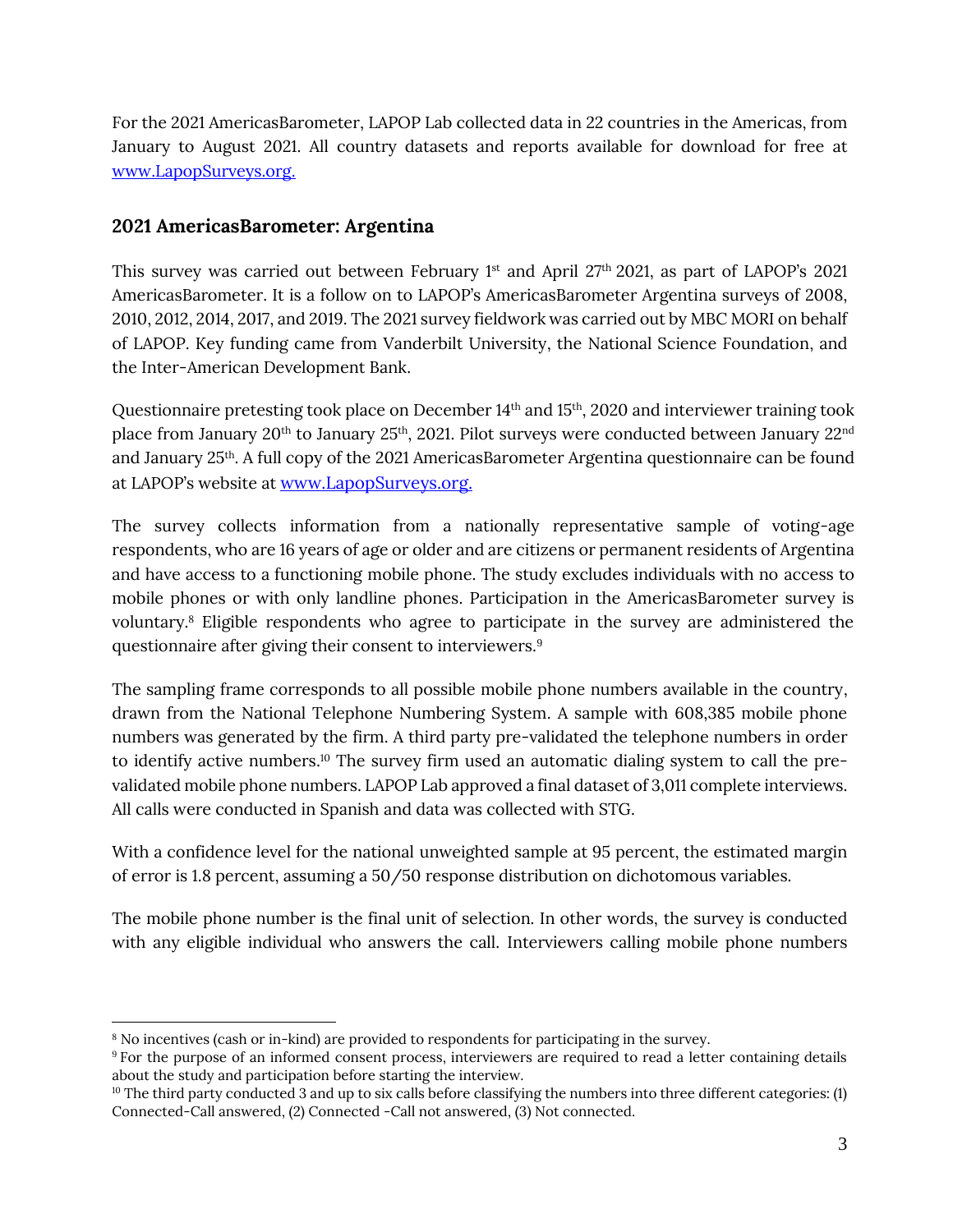For the 2021 AmericasBarometer, LAPOP Lab collected data in 22 countries in the Americas, from January to August 2021. All country datasets and reports available for download for free at [www.LapopSurveys.org.](http://www.lapopsurveys.org/)

#### **2021 AmericasBarometer: Argentina**

This survey was carried out between February 1 $^{\rm st}$  and April 27th 2021, as part of LAPOP's 2021 AmericasBarometer. It is a follow on to LAPOP's AmericasBarometer Argentina surveys of 2008, 2010, 2012, 2014, 2017, and 2019. The 2021 survey fieldwork was carried out by MBC MORI on behalf of LAPOP. Key funding came from Vanderbilt University, the National Science Foundation, and the Inter-American Development Bank.

Questionnaire pretesting took place on December 14 th and 15 th, 2020 and interviewer training took place from January 20<sup>th</sup> to January 25<sup>th</sup>, 2021. Pilot surveys were conducted between January 22<sup>nd</sup> and January 25th . A full copy of the 2021 AmericasBarometer Argentina questionnaire can be found at LAPOP's website at [www.LapopSurveys.org.](http://www.lapopsurveys.org/)

The survey collects information from a nationally representative sample of voting-age respondents, who are 16 years of age or older and are citizens or permanent residents of Argentina and have access to a functioning mobile phone. The study excludes individuals with no access to mobile phones or with only landline phones. Participation in the AmericasBarometer survey is voluntary.<sup>8</sup> Eligible respondents who agree to participate in the survey are administered the questionnaire after giving their consent to interviewers.<sup>9</sup>

The sampling frame corresponds to all possible mobile phone numbers available in the country, drawn from the National Telephone Numbering System. A sample with 608,385 mobile phone numbers was generated by the firm. A third party pre-validated the telephone numbers in order to identify active numbers.<sup>10</sup> The survey firm used an automatic dialing system to call the prevalidated mobile phone numbers. LAPOP Lab approved a final dataset of 3,011 complete interviews. All calls were conducted in Spanish and data was collected with STG.

With a confidence level for the national unweighted sample at 95 percent, the estimated margin of error is 1.8 percent, assuming a 50/50 response distribution on dichotomous variables.

The mobile phone number is the final unit of selection. In other words, the survey is conducted with any eligible individual who answers the call. Interviewers calling mobile phone numbers

<sup>8</sup> No incentives (cash or in-kind) are provided to respondents for participating in the survey.

<sup>&</sup>lt;sup>9</sup> For the purpose of an informed consent process, interviewers are required to read a letter containing details about the study and participation before starting the interview.

 $10$  The third party conducted 3 and up to six calls before classifying the numbers into three different categories: (1) Connected-Call answered, (2) Connected -Call not answered, (3) Not connected.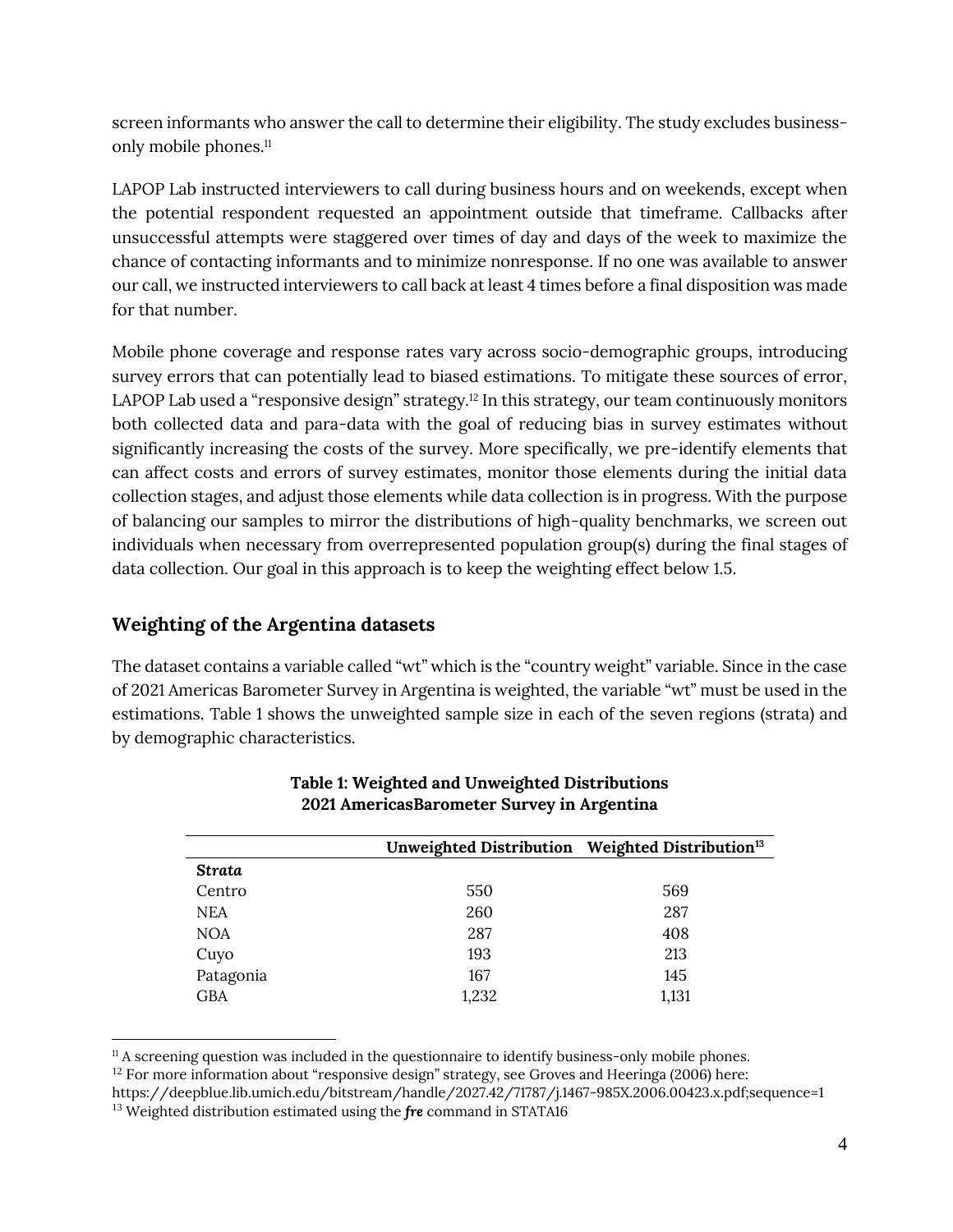screen informants who answer the call to determine their eligibility. The study excludes businessonly mobile phones. 11

LAPOP Lab instructed interviewers to call during business hours and on weekends, except when the potential respondent requested an appointment outside that timeframe. Callbacks after unsuccessful attempts were staggered over times of day and days of the week to maximize the chance of contacting informants and to minimize nonresponse. If no one was available to answer our call, we instructed interviewers to call back at least 4 times before a final disposition was made for that number.

Mobile phone coverage and response rates vary across socio-demographic groups, introducing survey errors that can potentially lead to biased estimations. To mitigate these sources of error, LAPOP Lab used a "responsive design" strategy.<sup>12</sup> In this strategy, our team continuously monitors both collected data and para-data with the goal of reducing bias in survey estimates without significantly increasing the costs of the survey. More specifically, we pre-identify elements that can affect costs and errors of survey estimates, monitor those elements during the initial data collection stages, and adjust those elements while data collection is in progress. With the purpose of balancing our samples to mirror the distributions of high-quality benchmarks, we screen out individuals when necessary from overrepresented population group(s) during the final stages of data collection. Our goal in this approach is to keep the weighting effect below 1.5.

# **Weighting of the Argentina datasets**

The dataset contains a variable called "wt" which is the "country weight" variable. Since in the case of 2021 Americas Barometer Survey in Argentina is weighted, the variable "wt" must be used in the estimations. Table 1 shows the unweighted sample size in each of the seven regions (strata) and by demographic characteristics.

|               | Unweighted Distribution Weighted Distribution <sup>13</sup> |       |
|---------------|-------------------------------------------------------------|-------|
| <b>Strata</b> |                                                             |       |
| Centro        | 550                                                         | 569   |
| <b>NEA</b>    | 260                                                         | 287   |
| <b>NOA</b>    | 287                                                         | 408   |
| Cuyo          | 193                                                         | 213   |
| Patagonia     | 167                                                         | 145   |
| <b>GBA</b>    | 1,232                                                       | 1,131 |
|               |                                                             |       |

#### **Table 1: Weighted and Unweighted Distributions 2021 AmericasBarometer Survey in Argentina**

<sup>&</sup>lt;sup>11</sup> A screening question was included in the questionnaire to identify business-only mobile phones.

 $12$  For more information about "responsive design" strategy, see Groves and Heeringa (2006) here:

https://deepblue.lib.umich.edu/bitstream/handle/2027.42/71787/j.1467-985X.2006.00423.x.pdf;sequence=1 <sup>13</sup> Weighted distribution estimated using the *fre* command in STATA16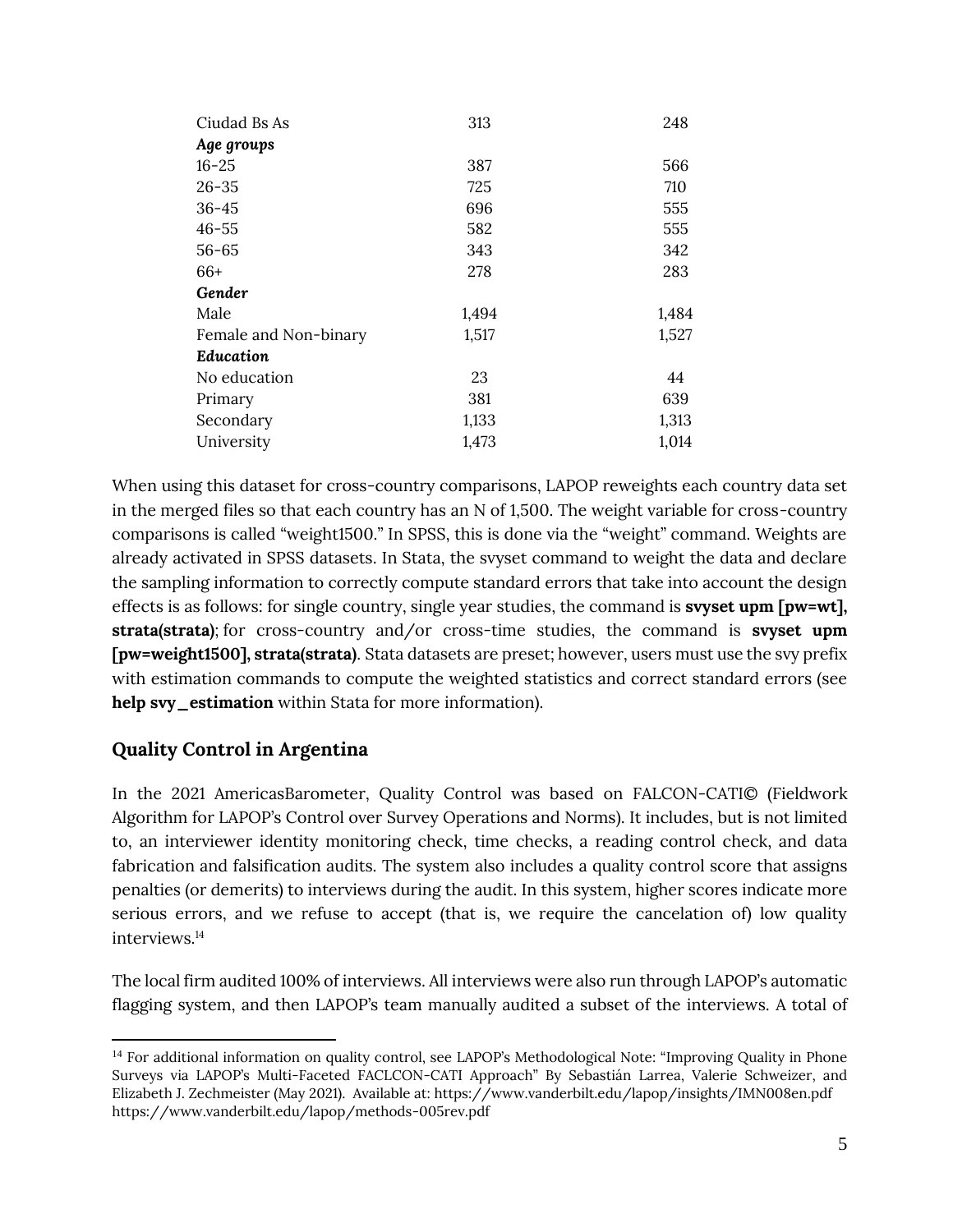| Ciudad Bs As          | 313   | 248   |
|-----------------------|-------|-------|
| Age groups            |       |       |
| $16 - 25$             | 387   | 566   |
| $26 - 35$             | 725   | 710   |
| $36 - 45$             | 696   | 555   |
| $46 - 55$             | 582   | 555   |
| $56 - 65$             | 343   | 342   |
| 66+                   | 278   | 283   |
| Gender                |       |       |
| Male                  | 1,494 | 1,484 |
| Female and Non-binary | 1,517 | 1,527 |
| <b>Education</b>      |       |       |
| No education          | 23    | 44    |
| Primary               | 381   | 639   |
| Secondary             | 1,133 | 1,313 |
| University            | 1,473 | 1,014 |

When using this dataset for cross-country comparisons, LAPOP reweights each country data set in the merged files so that each country has an N of 1,500. The weight variable for cross-country comparisons is called "weight1500." In SPSS, this is done via the "weight" command. Weights are already activated in SPSS datasets. In Stata, the svyset command to weight the data and declare the sampling information to correctly compute standard errors that take into account the design effects is as follows: for single country, single year studies, the command is **svyset upm [pw=wt], strata(strata)**; for cross-country and/or cross-time studies, the command is **svyset upm [pw=weight1500], strata(strata)**. Stata datasets are preset; however, users must use the svy prefix with estimation commands to compute the weighted statistics and correct standard errors (see **help svy\_estimation** within Stata for more information).

# **Quality Control in Argentina**

In the 2021 AmericasBarometer, Quality Control was based on FALCON-CATI© (Fieldwork Algorithm for LAPOP's Control over Survey Operations and Norms). It includes, but is not limited to, an interviewer identity monitoring check, time checks, a reading control check, and data fabrication and falsification audits. The system also includes a quality control score that assigns penalties (or demerits) to interviews during the audit. In this system, higher scores indicate more serious errors, and we refuse to accept (that is, we require the cancelation of) low quality interviews.<sup>14</sup>

The local firm audited 100% of interviews. All interviews were also run through LAPOP's automatic flagging system, and then LAPOP's team manually audited a subset of the interviews. A total of

<sup>&</sup>lt;sup>14</sup> For additional information on quality control, see LAPOP's Methodological Note: "Improving Quality in Phone Surveys via LAPOP's Multi-Faceted FACLCON-CATI Approach" By Sebastián Larrea, Valerie Schweizer, and Elizabeth J. Zechmeister (May 2021). Available at: https://www.vanderbilt.edu/lapop/insights/IMN008en.pdf <https://www.vanderbilt.edu/lapop/methods-005rev.pdf>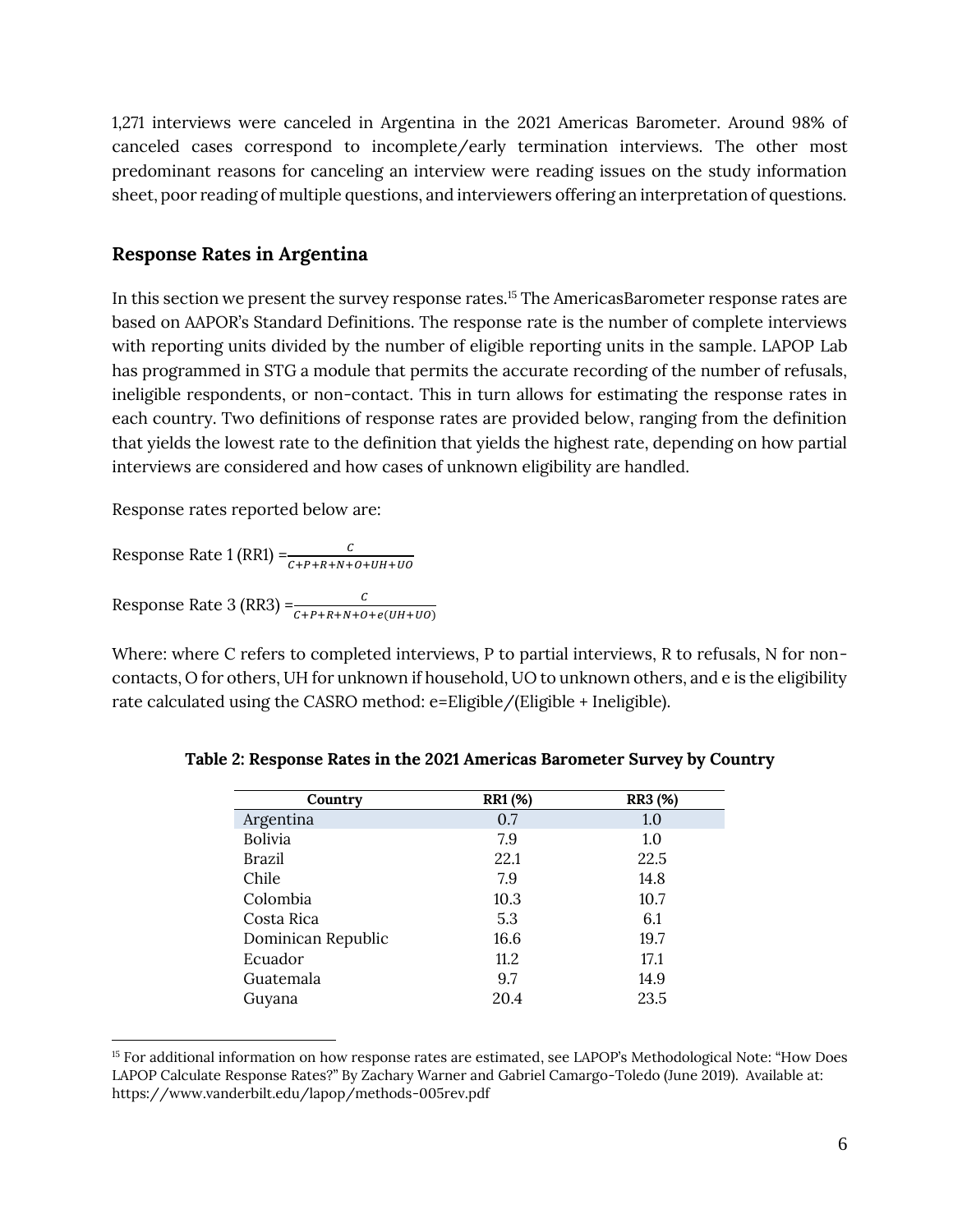1,271 interviews were canceled in Argentina in the 2021 Americas Barometer. Around 98% of canceled cases correspond to incomplete/early termination interviews. The other most predominant reasons for canceling an interview were reading issues on the study information sheet, poor reading of multiple questions, and interviewers offering an interpretation of questions.

#### **Response Rates in Argentina**

In this section we present the survey response rates.<sup>15</sup> The AmericasBarometer response rates are based on AAPOR's Standard Definitions. The response rate is the number of complete interviews with reporting units divided by the number of eligible reporting units in the sample. LAPOP Lab has programmed in STG a module that permits the accurate recording of the number of refusals, ineligible respondents, or non-contact. This in turn allows for estimating the response rates in each country. Two definitions of response rates are provided below, ranging from the definition that yields the lowest rate to the definition that yields the highest rate, depending on how partial interviews are considered and how cases of unknown eligibility are handled.

Response rates reported below are:

Response Rate 1 (RR1) = $\frac{c}{c + p + R + N + o + UH + UO}$ Response Rate 3 (RR3) =  $\frac{c}{c + P + R + N + O + e(UH+UO)}$ 

Where: where C refers to completed interviews, P to partial interviews, R to refusals, N for noncontacts, O for others, UH for unknown if household, UO to unknown others, and e is the eligibility rate calculated using the CASRO method: e=Eligible/(Eligible + Ineligible).

| Country            | RR1 (%) | <b>RR3</b> (%) |
|--------------------|---------|----------------|
| Argentina          | 0.7     | 1.0            |
| <b>Bolivia</b>     | 7.9     | 1.0            |
| Brazil             | 22.1    | 22.5           |
| Chile              | 7.9     | 14.8           |
| Colombia           | 10.3    | 10.7           |
| Costa Rica         | 5.3     | 6.1            |
| Dominican Republic | 16.6    | 19.7           |
| Ecuador            | 11.2    | 17.1           |
| Guatemala          | 9.7     | 14.9           |
| Guyana             | 20.4    | 23.5           |

|  |  | Table 2: Response Rates in the 2021 Americas Barometer Survey by Country |
|--|--|--------------------------------------------------------------------------|
|  |  |                                                                          |

<sup>&</sup>lt;sup>15</sup> For additional information on how response rates are estimated, see LAPOP's Methodological Note: "How Does LAPOP Calculate Response Rates?" By Zachary Warner and Gabriel Camargo-Toledo (June 2019). Available at: <https://www.vanderbilt.edu/lapop/methods-005rev.pdf>